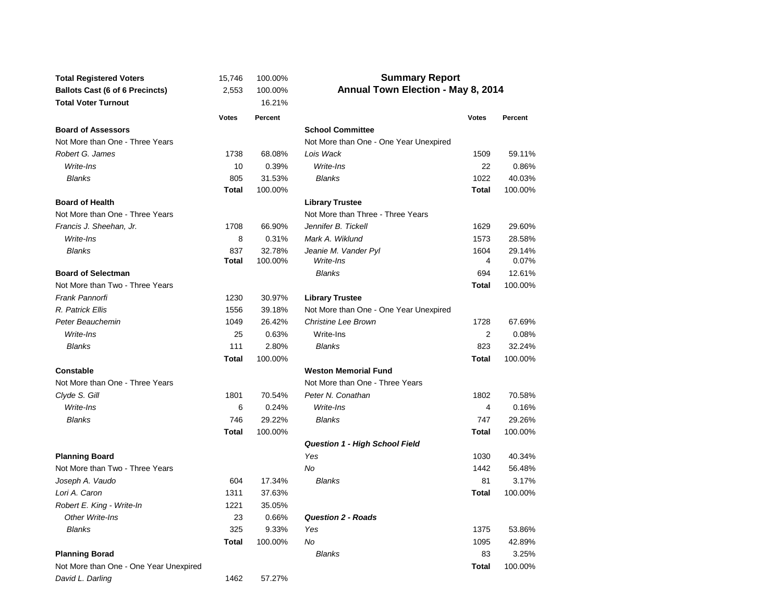| <b>Total Registered Voters</b>         | 15,746       | 100.00%       | <b>Summary Report</b>                  |              |         |  |  |  |  |
|----------------------------------------|--------------|---------------|----------------------------------------|--------------|---------|--|--|--|--|
| <b>Ballots Cast (6 of 6 Precincts)</b> | 2,553        | 100.00%       | Annual Town Election - May 8, 2014     |              |         |  |  |  |  |
| <b>Total Voter Turnout</b>             |              | 16.21%        |                                        |              |         |  |  |  |  |
|                                        | <b>Votes</b> | Percent       |                                        | <b>Votes</b> | Percent |  |  |  |  |
| <b>Board of Assessors</b>              |              |               | <b>School Committee</b>                |              |         |  |  |  |  |
| Not More than One - Three Years        |              |               | Not More than One - One Year Unexpired |              |         |  |  |  |  |
| Robert G. James                        | 1738         | 68.08%        | Lois Wack                              | 1509         | 59.11%  |  |  |  |  |
| Write-Ins                              | 10           | 0.39%         | Write-Ins                              | 22           | 0.86%   |  |  |  |  |
| <b>Blanks</b>                          | 805          | 31.53%        | <b>Blanks</b>                          | 1022         | 40.03%  |  |  |  |  |
|                                        | <b>Total</b> | 100.00%       |                                        | <b>Total</b> | 100.00% |  |  |  |  |
| <b>Board of Health</b>                 |              |               | <b>Library Trustee</b>                 |              |         |  |  |  |  |
| Not More than One - Three Years        |              |               | Not More than Three - Three Years      |              |         |  |  |  |  |
| Francis J. Sheehan, Jr.                | 1708         | 66.90%        | Jennifer B. Tickell                    | 1629         | 29.60%  |  |  |  |  |
| Write-Ins                              | 8            | 0.31%         | Mark A. Wiklund                        | 1573         | 28.58%  |  |  |  |  |
| <b>Blanks</b>                          | 837          | 32.78%        | Jeanie M. Vander Pyl                   | 1604         | 29.14%  |  |  |  |  |
|                                        | Total        | 100.00%       | Write-Ins                              | 4            | 0.07%   |  |  |  |  |
| <b>Board of Selectman</b>              |              |               | <b>Blanks</b>                          | 694          | 12.61%  |  |  |  |  |
| Not More than Two - Three Years        |              |               |                                        | <b>Total</b> | 100.00% |  |  |  |  |
| Frank Pannorfi                         | 1230         | 30.97%        | <b>Library Trustee</b>                 |              |         |  |  |  |  |
| R. Patrick Ellis                       | 1556         | 39.18%        | Not More than One - One Year Unexpired |              |         |  |  |  |  |
| Peter Beauchemin                       | 1049         | 26.42%        | <b>Christine Lee Brown</b>             | 1728         | 67.69%  |  |  |  |  |
| Write-Ins                              | 25           | 0.63%         | Write-Ins                              | 2            | 0.08%   |  |  |  |  |
| <b>Blanks</b>                          | 111          | 2.80%         | <b>Blanks</b>                          | 823          | 32.24%  |  |  |  |  |
|                                        | <b>Total</b> | 100.00%       |                                        | Total        | 100.00% |  |  |  |  |
| <b>Constable</b>                       |              |               | <b>Weston Memorial Fund</b>            |              |         |  |  |  |  |
| Not More than One - Three Years        |              |               | Not More than One - Three Years        |              |         |  |  |  |  |
| Clyde S. Gill                          | 1801         | 70.54%        | Peter N. Conathan                      | 1802         | 70.58%  |  |  |  |  |
| Write-Ins                              | 6            | 0.24%         | Write-Ins                              | 4            | 0.16%   |  |  |  |  |
| <b>Blanks</b>                          | 746          | 29.22%        | <b>Blanks</b>                          | 747          | 29.26%  |  |  |  |  |
|                                        | <b>Total</b> | 100.00%       |                                        | <b>Total</b> | 100.00% |  |  |  |  |
|                                        |              |               | <b>Question 1 - High School Field</b>  |              |         |  |  |  |  |
| <b>Planning Board</b>                  |              |               | Yes                                    | 1030         | 40.34%  |  |  |  |  |
| Not More than Two - Three Years        |              |               | <b>No</b>                              | 1442         | 56.48%  |  |  |  |  |
| Joseph A. Vaudo                        | 604          | 17.34%        | <b>Blanks</b>                          | 81           | 3.17%   |  |  |  |  |
| Lori A. Caron                          | 1311         | 37.63%        |                                        | <b>Total</b> | 100.00% |  |  |  |  |
| Robert E. King - Write-In              | 1221         | 35.05%        |                                        |              |         |  |  |  |  |
| Other Write-Ins                        | 23           | 0.66%         | <b>Question 2 - Roads</b>              |              |         |  |  |  |  |
| <b>Blanks</b>                          | 325          | 9.33%         | Yes                                    | 1375         | 53.86%  |  |  |  |  |
|                                        | <b>Total</b> | 100.00%       | No                                     | 1095         | 42.89%  |  |  |  |  |
| <b>Planning Borad</b>                  |              | <b>Blanks</b> |                                        | 83           | 3.25%   |  |  |  |  |
| Not More than One - One Year Unexpired |              |               |                                        | <b>Total</b> | 100.00% |  |  |  |  |
| David L. Darling                       | 1462         | 57.27%        |                                        |              |         |  |  |  |  |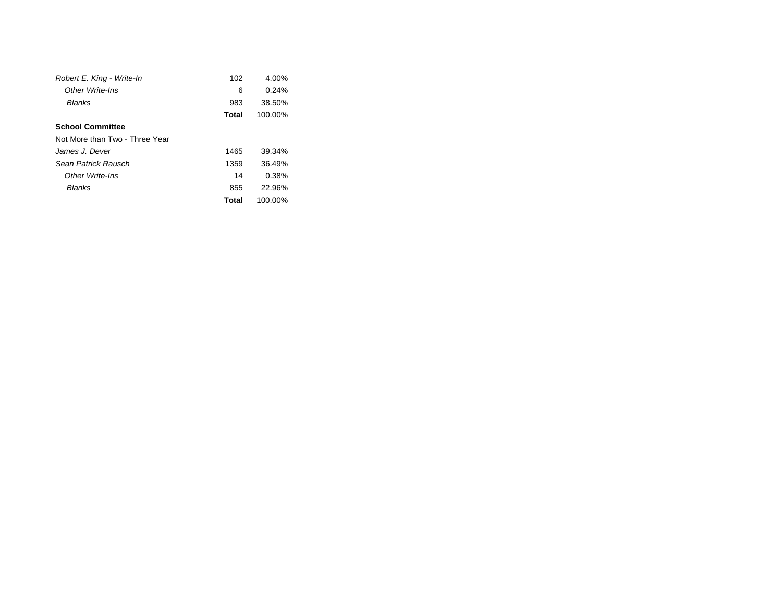| Robert E. King - Write-In      | 102   | 4.00%   |  |
|--------------------------------|-------|---------|--|
| Other Write-Ins                | 6     | 0.24%   |  |
| Blanks                         | 983   | 38.50%  |  |
|                                | Total | 100.00% |  |
| <b>School Committee</b>        |       |         |  |
| Not More than Two - Three Year |       |         |  |
| James J. Dever                 | 1465  | 39.34%  |  |
| Sean Patrick Rausch            | 1359  | 36.49%  |  |
| Other Write-Ins                | 14    | 0.38%   |  |
| Blanks                         | 855   | 22.96%  |  |
|                                | Total | 100.00% |  |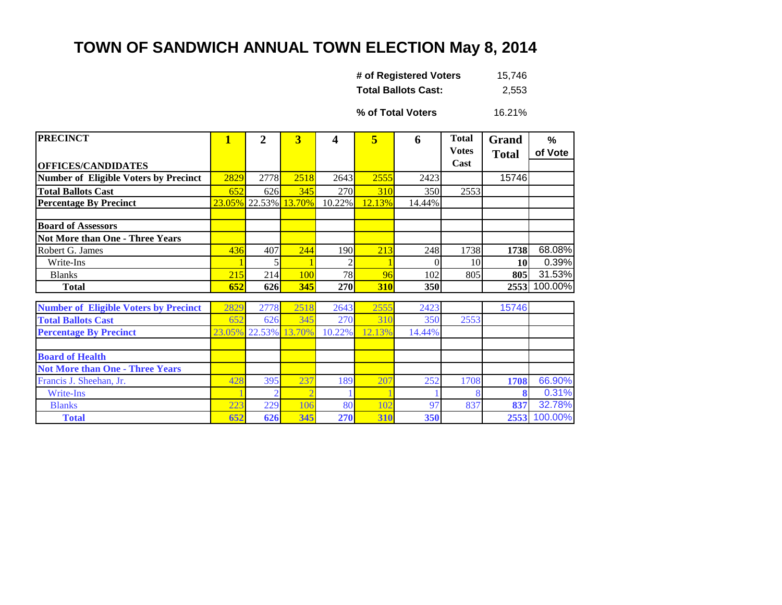## **TOWN OF SANDWICH ANNUAL TOWN ELECTION May 8, 2014**

| # of Registered Voters     | 15,746 |
|----------------------------|--------|
| <b>Total Ballots Cast:</b> | 2,553  |

16.21% **% of Total Voters**

| <b>PRECINCT</b>                              | 1    | $\overline{2}$ | $\overline{\mathbf{3}}$  | 4          | 5      | 6      | <b>Total</b> | Grand        | %       |
|----------------------------------------------|------|----------------|--------------------------|------------|--------|--------|--------------|--------------|---------|
|                                              |      |                |                          |            |        |        | <b>Votes</b> | <b>Total</b> | of Vote |
| <b>OFFICES/CANDIDATES</b>                    |      |                |                          |            |        |        | Cast         |              |         |
| <b>Number of Eligible Voters by Precinct</b> | 2829 | 2778           | 2518                     | 2643       | 2555   | 2423   |              | 15746        |         |
| <b>Total Ballots Cast</b>                    | 652  | 626            | 345                      | 270        | 310    | 350    | 2553         |              |         |
| <b>Percentage By Precinct</b>                |      |                | 23.05% 22.53% 13.70%     | 10.22%     | 12.13% | 14.44% |              |              |         |
|                                              |      |                |                          |            |        |        |              |              |         |
| <b>Board of Assessors</b>                    |      |                |                          |            |        |        |              |              |         |
| <b>Not More than One - Three Years</b>       |      |                |                          |            |        |        |              |              |         |
| Robert G. James                              | 436  | 407            | 244                      | 190        | 213    | 248    | 1738         | 1738         | 68.08%  |
| Write-Ins                                    |      |                |                          |            |        | 0      | 10           | <b>10</b>    | 0.39%   |
| <b>Blanks</b>                                | 215  | 214            | 100                      | 78         | 96     | 102    | 805          | 805          | 31.53%  |
| <b>Total</b>                                 | 652  | 626            | 345                      | <b>270</b> | 310    | 350    |              | 2553         | 100.00% |
|                                              |      |                |                          |            |        |        |              |              |         |
| <b>Number of Eligible Voters by Precinct</b> | 2829 | 2778           | 2518                     | 2643       | 2555   | 2423   |              | 15746        |         |
| <b>Total Ballots Cast</b>                    | 652  | 626            | 345                      | 270        | 310    | 350    | 2553         |              |         |
| <b>Percentage By Precinct</b>                |      | 23.05% 22.53%  | 13.70%                   | 10.22%     | 12.13% | 14.44% |              |              |         |
|                                              |      |                |                          |            |        |        |              |              |         |
| <b>Board of Health</b>                       |      |                |                          |            |        |        |              |              |         |
| <b>Not More than One - Three Years</b>       |      |                |                          |            |        |        |              |              |         |
| Francis J. Sheehan, Jr.                      | 428  | 395            | 237                      | 189        | 207    | 252    | 1708         | 1708         | 66.90%  |
| Write-Ins                                    |      |                | $\overline{\mathcal{L}}$ |            |        |        |              | 8            | 0.31%   |
| <b>Blanks</b>                                | 223  | 229            | 106                      | 80         | 102    | 97     | 837          | 837          | 32.78%  |
| <b>Total</b>                                 | 652  | 626            | 345                      | 270        | 310    | 350    |              | 2553         | 100.00% |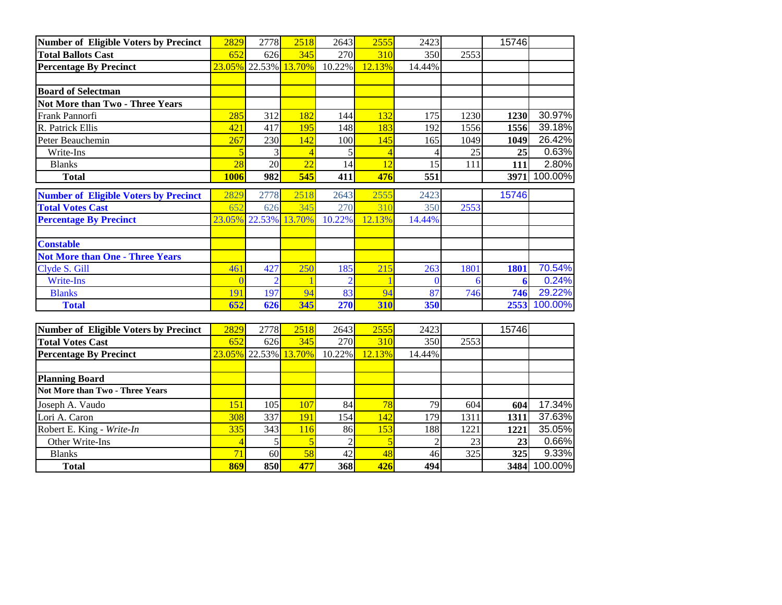| <b>Number of Eligible Voters by Precinct</b> | 2829           | 2778                 | 2518             | 2643           | 2555   | 2423           |      | 15746       |         |
|----------------------------------------------|----------------|----------------------|------------------|----------------|--------|----------------|------|-------------|---------|
| <b>Total Ballots Cast</b>                    | 652            | 626                  | 345              | 270            | 310    | 350            | 2553 |             |         |
| <b>Percentage By Precinct</b>                |                | 23.05% 22.53% 13.70% |                  | 10.22%         | 12.13% | 14.44%         |      |             |         |
|                                              |                |                      |                  |                |        |                |      |             |         |
| <b>Board of Selectman</b>                    |                |                      |                  |                |        |                |      |             |         |
| <b>Not More than Two - Three Years</b>       |                |                      |                  |                |        |                |      |             |         |
| Frank Pannorfi                               | 285            | 312                  | 182              | 144            | 132    | 175            | 1230 | 1230        | 30.97%  |
| R. Patrick Ellis                             | 421            | 417                  | 195              | 148            | 183    | 192            | 1556 | 1556        | 39.18%  |
| Peter Beauchemin                             | 267            | 230                  | 142              | 100            | 145    | 165            | 1049 | 1049        | 26.42%  |
| Write-Ins                                    | 5              | 3                    | $\overline{4}$   |                | 4      |                | 25   | 25          | 0.63%   |
| <b>Blanks</b>                                | 28             | $\overline{20}$      | $\overline{22}$  | 14             | 12     | 15             | 111  | 111         | 2.80%   |
| <b>Total</b>                                 | 1006           | 982                  | $\overline{545}$ | 411            | 476    | 551            |      | 3971        | 100.00% |
| <b>Number of Eligible Voters by Precinct</b> | 2829           | 2778                 | 2518             | 2643           | 2555   | 2423           |      | 15746       |         |
| <b>Total Votes Cast</b>                      | 652            | 626                  | 345              | 270            | 310    | 350            | 2553 |             |         |
| <b>Percentage By Precinct</b>                |                | 23.05% 22.53% 13.70% |                  | 10.22%         | 12.13% | 14.44%         |      |             |         |
| <b>Constable</b>                             |                |                      |                  |                |        |                |      |             |         |
| <b>Not More than One - Three Years</b>       |                |                      |                  |                |        |                |      |             |         |
| Clyde S. Gill                                | 461            | 427                  | 250              | 185            | 215    | 263            | 1801 | <b>1801</b> | 70.54%  |
| Write-Ins                                    | $\Omega$       | $\overline{2}$       |                  |                |        | $\mathbf{0}$   | 6    | 6           | 0.24%   |
| <b>Blanks</b>                                | 191            | 197                  | 94               | 83             | 94     | 87             | 746  | 746         | 29.22%  |
| <b>Total</b>                                 | 652            | 626                  | 345              | 270            | 310    | 350            |      | 2553        | 100.00% |
|                                              |                |                      |                  |                |        |                |      |             |         |
| <b>Number of Eligible Voters by Precinct</b> | 2829           | 2778                 | 2518             | 2643           | 2555   | 2423           |      | 15746       |         |
| <b>Total Votes Cast</b>                      | 652            | 626                  | 345              | 270            | 310    | 350            | 2553 |             |         |
| <b>Percentage By Precinct</b>                |                | 23.05% 22.53% 13.70% |                  | 10.22%         | 12.13% | 14.44%         |      |             |         |
| <b>Planning Board</b>                        |                |                      |                  |                |        |                |      |             |         |
| <b>Not More than Two - Three Years</b>       |                |                      |                  |                |        |                |      |             |         |
| Joseph A. Vaudo                              | 151            | 105                  | 107              | 84             | 78     | 79             | 604  | 604         | 17.34%  |
| Lori A. Caron                                | 308            | 337                  | 191              | 154            | 142    | 179            | 1311 | 1311        | 37.63%  |
| Robert E. King - Write-In                    | 335            | 343                  | 116              | 86             | 153    | 188            | 1221 | 1221        | 35.05%  |
| Other Write-Ins                              | $\overline{4}$ | 5                    | 5                | $\overline{2}$ | 5      | $\overline{2}$ | 23   | 23          | 0.66%   |
| <b>Blanks</b>                                | 71             | 60                   | 58               | 42             | 48     | 46             | 325  | 325         | 9.33%   |
| <b>Total</b>                                 | 869            | 850                  | 477              | 368            | 426    | 494            |      | 3484        | 100.00% |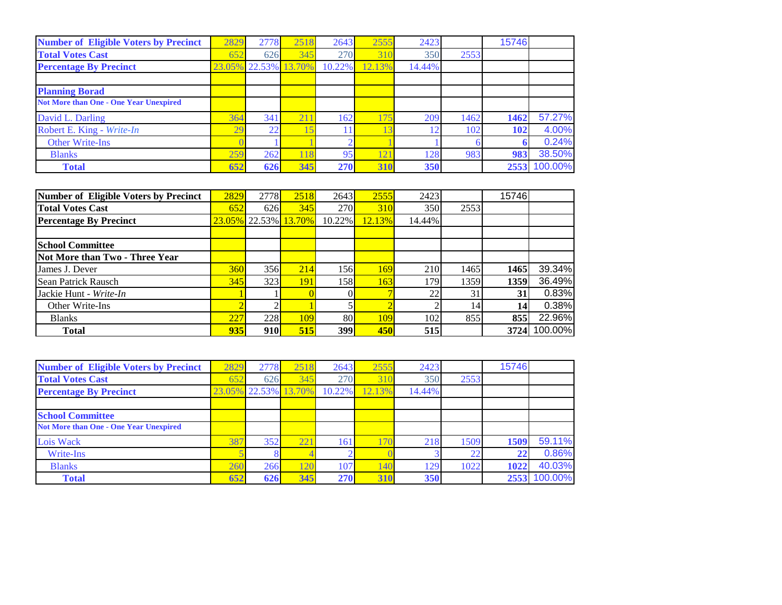| <b>Number of Eligible Voters by Precinct</b>  | 2829   | 2778          | 2518       | 2643   | 2555            | 2423   |      | 15746 |         |
|-----------------------------------------------|--------|---------------|------------|--------|-----------------|--------|------|-------|---------|
| <b>Total Votes Cast</b>                       | 652    | 626           | 345        | 270    | 31 <sup>°</sup> | 350    | 2553 |       |         |
| <b>Percentage By Precinct</b>                 | 23.05% | 22.53% 13.70% |            | 10.22% | 12.13%          | 14.44% |      |       |         |
|                                               |        |               |            |        |                 |        |      |       |         |
| <b>Planning Borad</b>                         |        |               |            |        |                 |        |      |       |         |
| <b>Not More than One - One Year Unexpired</b> |        |               |            |        |                 |        |      |       |         |
| David L. Darling                              | 364    | 341           | 211        | 162    | 175             | 209    | 1462 | 1462  | 57.27%  |
| Robert E. King - Write-In                     | 29     | 22            | $\sqrt{2}$ |        |                 |        | 102  | 102   | 4.00%   |
| <b>Other Write-Ins</b>                        |        |               |            |        |                 |        |      |       | 0.24%   |
| <b>Blanks</b>                                 | 259    | 262           | 118        | 95     | 12              | 128    | 983  | 983   | 38.50%  |
| <b>Total</b>                                  | 652    | 626           | 345        | 270    | 310             | 350    |      | 2553  | 100.00% |

| Number of Eligible Voters by Precinct | 2829       | 2778 | 2518                          | 2643   | 2555   | 2423   |      | 15746 |         |
|---------------------------------------|------------|------|-------------------------------|--------|--------|--------|------|-------|---------|
| <b>Total Votes Cast</b>               | 652        | 626  | 345                           | 270    | 310    | 350    | 2553 |       |         |
| <b>Percentage By Precinct</b>         | 23.05%     |      | $\vert$ 22.53% $\vert$ 13.70% | 10.22% | 12.13% | 14.44% |      |       |         |
|                                       |            |      |                               |        |        |        |      |       |         |
| <b>School Committee</b>               |            |      |                               |        |        |        |      |       |         |
| Not More than Two - Three Year        |            |      |                               |        |        |        |      |       |         |
| James J. Dever                        | <b>360</b> | 356  | 214                           | 156    | 169    | 210    | 1465 | 1465  | 39.34%  |
| Sean Patrick Rausch                   | 345        | 323  | <b>191</b>                    | 158    | 163    | 179    | 1359 | 1359  | 36.49%  |
| Jackie Hunt - Write-In                |            |      |                               |        |        | 22     | 31   | 31    | 0.83%   |
| Other Write-Ins                       |            |      |                               |        |        |        |      | 14    | 0.38%   |
| <b>Blanks</b>                         | 227        | 228  | 109                           | 80     | 109    | 102    | 855  | 855   | 22.96%  |
| <b>Total</b>                          | 935        | 910  | 515                           | 399    | 450    | 515    |      | 3724  | 100.00% |

| <b>Number of Eligible Voters by Precinct</b>  | 2829 | 2778                 | 2518 | 2643   | 2555   | 2423   |      | 15746 |              |
|-----------------------------------------------|------|----------------------|------|--------|--------|--------|------|-------|--------------|
| <b>Total Votes Cast</b>                       | 652  | 626                  | 345  | 270    | 31(    | 350    | 2553 |       |              |
| <b>Percentage By Precinct</b>                 |      | 23.05% 22.53% 13.70% |      | 10.22% | 12.13% | 14.44% |      |       |              |
|                                               |      |                      |      |        |        |        |      |       |              |
| <b>School Committee</b>                       |      |                      |      |        |        |        |      |       |              |
| <b>Not More than One - One Year Unexpired</b> |      |                      |      |        |        |        |      |       |              |
| Lois Wack                                     | 387  | 352                  | 221  | 161    | 171    | 218    | 1509 | 1509  | 59.11%       |
| Write-Ins                                     |      |                      |      |        |        |        | ി    | 22    | 0.86%        |
| <b>Blanks</b>                                 | 260  | 266                  |      | 107    | 14(    | 129    | 1022 | 1022  | 40.03%       |
| <b>Total</b>                                  | 652  | 626                  | 345  | 270    | 310    | 350    |      |       | 2553 100.00% |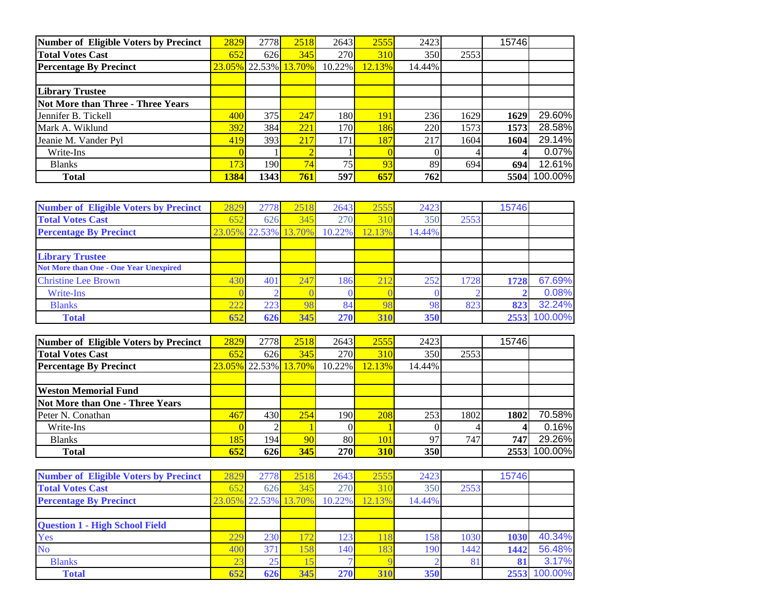| Number of Eligible Voters by Precinct | 2829 | 2778 | 2518                 | 2643            | 2555   | 2423   |      | 15746 |         |
|---------------------------------------|------|------|----------------------|-----------------|--------|--------|------|-------|---------|
| <b>Total Votes Cast</b>               | 652  | 626  | 345                  | <b>270</b>      | 310    | 350    | 2553 |       |         |
| <b>Percentage By Precinct</b>         |      |      | 23.05% 22.53% 13.70% | 10.22%          | 12.13% | 14.44% |      |       |         |
|                                       |      |      |                      |                 |        |        |      |       |         |
| <b>Library Trustee</b>                |      |      |                      |                 |        |        |      |       |         |
| Not More than Three - Three Years     |      |      |                      |                 |        |        |      |       |         |
| Jennifer B. Tickell                   | 400  | 375  | 247                  | 180I            | 191    | 236    | 1629 | 1629  | 29.60%  |
| Mark A. Wiklund                       | 392  | 384  | 221                  | 170I            | 186    | 220    | 1573 | 1573  | 28.58%  |
| Jeanie M. Vander Pyl                  | 419  | 393  | 217                  | 171             | 187    | 217    | 1604 | 1604  | 29.14%  |
| Write-Ins                             |      |      |                      |                 |        |        |      |       | 0.07%   |
| <b>Blanks</b>                         | 173  | 190  | 74                   | 75 <sub>h</sub> | 93     | 89     | 694  | 694   | 12.61%  |
| <b>Total</b>                          | 1384 | 1343 | 761                  | 597             | 657    | 762    |      | 5504l | 100.00% |

| <b>Number of Eligible Voters by Precinct</b>  | 2829 | 2778                 | 2518 | 2643   | 2555   | 2423   |      | 15746 |         |
|-----------------------------------------------|------|----------------------|------|--------|--------|--------|------|-------|---------|
| <b>Total Votes Cast</b>                       | 652  | 626                  | 345  | 270    | 310    | 350    | 2553 |       |         |
| <b>Percentage By Precinct</b>                 |      | 23.05% 22.53% 13.70% |      | 10.22% | 12.13% | 14.44% |      |       |         |
|                                               |      |                      |      |        |        |        |      |       |         |
| <b>Library Trustee</b>                        |      |                      |      |        |        |        |      |       |         |
| <b>Not More than One - One Year Unexpired</b> |      |                      |      |        |        |        |      |       |         |
| <b>Christine Lee Brown</b>                    | 430  | 401                  | 247  | 186.   | 212    | 252    | 1728 | 1728  | 67.69%  |
| Write-Ins                                     |      |                      |      |        |        |        |      |       | 0.08%   |
| <b>Blanks</b>                                 | 222  | 223                  |      | 84     |        | 98     | 823  | 823   | 32.24%  |
| <b>Total</b>                                  | 652  | 626                  | 345  | 270    | 310    | 350    |      | 2553  | 100.00% |

| Number of Eligible Voters by Precinct  | 2829 | 2778L | 2518                 | 2643            | 2555   | 2423   |      | 15746 |         |
|----------------------------------------|------|-------|----------------------|-----------------|--------|--------|------|-------|---------|
| <b>Total Votes Cast</b>                | 652  | 626   | 345                  | 270             | 310    | 350    | 2553 |       |         |
| <b>Percentage By Precinct</b>          |      |       | 23.05% 22.53% 13.70% | 10.22%          | 12.13% | 14.44% |      |       |         |
|                                        |      |       |                      |                 |        |        |      |       |         |
| <b>Weston Memorial Fund</b>            |      |       |                      |                 |        |        |      |       |         |
| <b>Not More than One - Three Years</b> |      |       |                      |                 |        |        |      |       |         |
| Peter N. Conathan                      | 467  | 430   | 254                  | 190             | 208    | 253    | 1802 | 1802  | 70.58%  |
| Write-Ins                              |      |       |                      |                 |        |        |      |       | 0.16%   |
| <b>Blanks</b>                          | 185  | 194   | 90                   | 80 <sup>1</sup> | 101    | 97     | 747  | 747   | 29.26%  |
| <b>Total</b>                           | 652  | 626   | 345                  | <b>270</b>      | 310    | 350    |      | 2553  | 100.00% |

| <b>Number of Eligible Voters by Precinct</b> | 2829   | 2778   | 2518  | 2643             | 2555            | 2423   |      | 15746 |         |
|----------------------------------------------|--------|--------|-------|------------------|-----------------|--------|------|-------|---------|
| <b>Total Votes Cast</b>                      | 652    | 626    | 345   | 270              | 31 <sub>0</sub> | 350    | 2553 |       |         |
| <b>Percentage By Precinct</b>                | 23.05% | 22.53% | 13.70 | 10.22%           | 12.13%          | 14.44% |      |       |         |
|                                              |        |        |       |                  |                 |        |      |       |         |
| <b>Question 1 - High School Field</b>        |        |        |       |                  |                 |        |      |       |         |
| Yes                                          | 229    | 230    | 72    | 123 <sub>1</sub> |                 | 158    | 1030 | 1030  | 40.34%  |
| <b>No</b>                                    | 400    | 371    | 58    | 140              | 183             | 190    | 1442 | 1442  | 56.48%  |
| <b>Blanks</b>                                | 23     | 25     |       |                  |                 |        |      |       | 3.17%   |
| <b>Total</b>                                 | 652    | 626    | 345   | 270              | 310             | 350    |      | 2553  | 100.00% |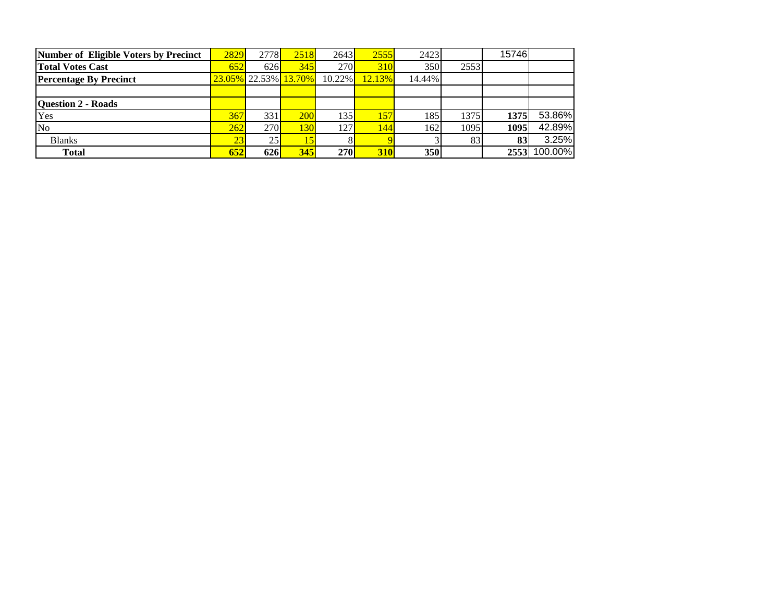| Number of Eligible Voters by Precinct | 2829       | 2778 | 2518                 | 2643       | 2555   | 2423   |      | 15746 |         |
|---------------------------------------|------------|------|----------------------|------------|--------|--------|------|-------|---------|
| <b>Total Votes Cast</b>               | 652        | 626  | 345                  | 270        | 310    | 350    | 2553 |       |         |
| <b>Percentage By Precinct</b>         |            |      | 23.05% 22.53% 13.70% | 10.22%     | 12.13% | 14.44% |      |       |         |
|                                       |            |      |                      |            |        |        |      |       |         |
| <b>Question 2 - Roads</b>             |            |      |                      |            |        |        |      |       |         |
| Yes                                   | 367        | 331  | 200                  | 135        | 157    | 185    | 1375 | 1375  | 53.86%  |
| No                                    | 262        | 270  | 1301                 | 127        | 144    | 162    | 1095 | 1095  | 42.89%  |
| <b>Blanks</b>                         | 23         | 25   | 15                   |            |        |        | 83   | 83    | 3.25%   |
| <b>Total</b>                          | <b>652</b> | 626  | 345                  | <b>270</b> | 310    | 350    |      | 2553  | 100.00% |